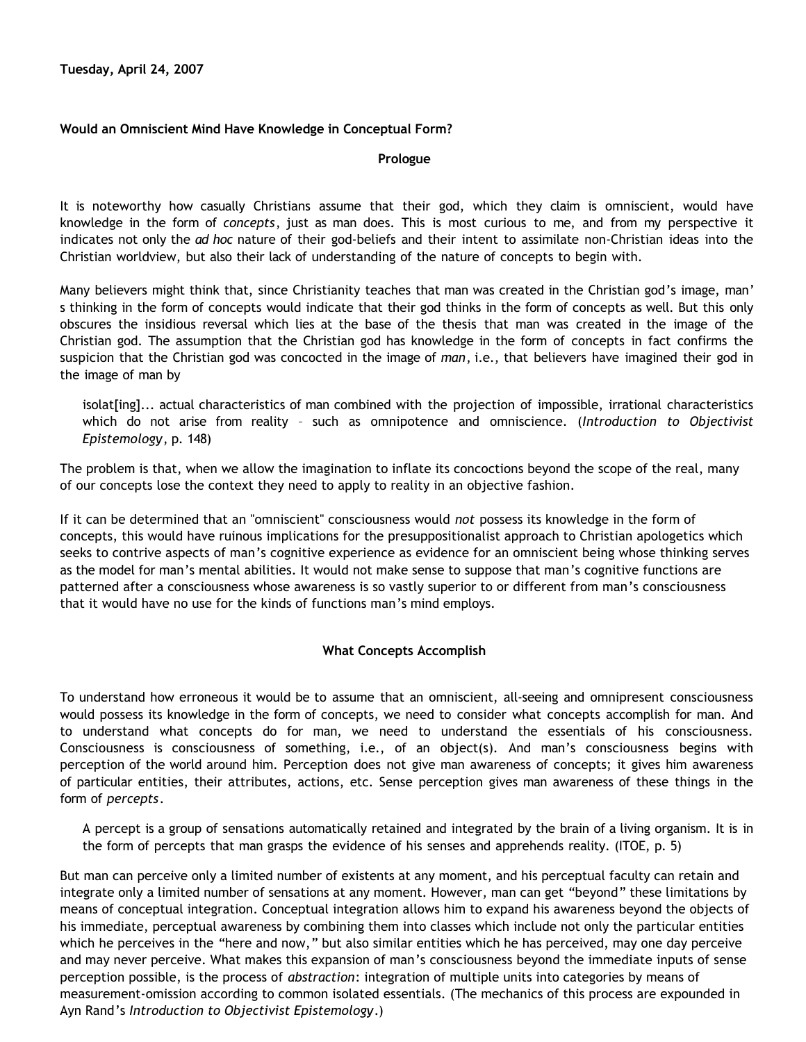## **Would an Omniscient Mind Have Knowledge in Conceptual Form?**

#### **Prologue**

It is noteworthy how casually Christians assume that their god, which they claim is omniscient, would have knowledge in the form of *concepts*, just as man does. This is most curious to me, and from my perspective it indicates not only the *ad hoc* nature of their god-beliefs and their intent to assimilate non-Christian ideas into the Christian worldview, but also their lack of understanding of the nature of concepts to begin with.

Many believers might think that, since Christianity teaches that man was created in the Christian god's image, man' s thinking in the form of concepts would indicate that their god thinks in the form of concepts as well. But this only obscures the insidious reversal which lies at the base of the thesis that man was created in the image of the Christian god. The assumption that the Christian god has knowledge in the form of concepts in fact confirms the suspicion that the Christian god was concocted in the image of *man*, i.e., that believers have imagined their god in the image of man by

isolat[ing]... actual characteristics of man combined with the projection of impossible, irrational characteristics which do not arise from reality – such as omnipotence and omniscience. (*Introduction to Objectivist Epistemology*, p. 148)

The problem is that, when we allow the imagination to inflate its concoctions beyond the scope of the real, many of our concepts lose the context they need to apply to reality in an objective fashion.

If it can be determined that an "omniscient" consciousness would *not* possess its knowledge in the form of concepts, this would have ruinous implications for the presuppositionalist approach to Christian apologetics which seeks to contrive aspects of man's cognitive experience as evidence for an omniscient being whose thinking serves as the model for man's mental abilities. It would not make sense to suppose that man's cognitive functions are patterned after a consciousness whose awareness is so vastly superior to or different from man's consciousness that it would have no use for the kinds of functions man's mind employs.

#### **What Concepts Accomplish**

To understand how erroneous it would be to assume that an omniscient, all-seeing and omnipresent consciousness would possess its knowledge in the form of concepts, we need to consider what concepts accomplish for man. And to understand what concepts do for man, we need to understand the essentials of his consciousness. Consciousness is consciousness of something, i.e., of an object(s). And man's consciousness begins with perception of the world around him. Perception does not give man awareness of concepts; it gives him awareness of particular entities, their attributes, actions, etc. Sense perception gives man awareness of these things in the form of *percepts*.

A percept is a group of sensations automatically retained and integrated by the brain of a living organism. It is in the form of percepts that man grasps the evidence of his senses and apprehends reality. (ITOE, p. 5)

But man can perceive only a limited number of existents at any moment, and his perceptual faculty can retain and integrate only a limited number of sensations at any moment. However, man can get "beyond" these limitations by means of conceptual integration. Conceptual integration allows him to expand his awareness beyond the objects of his immediate, perceptual awareness by combining them into classes which include not only the particular entities which he perceives in the "here and now," but also similar entities which he has perceived, may one day perceive and may never perceive. What makes this expansion of man's consciousness beyond the immediate inputs of sense perception possible, is the process of *abstraction*: integration of multiple units into categories by means of measurement-omission according to common isolated essentials. (The mechanics of this process are expounded in Ayn Rand's *Introduction to Objectivist Epistemology*.)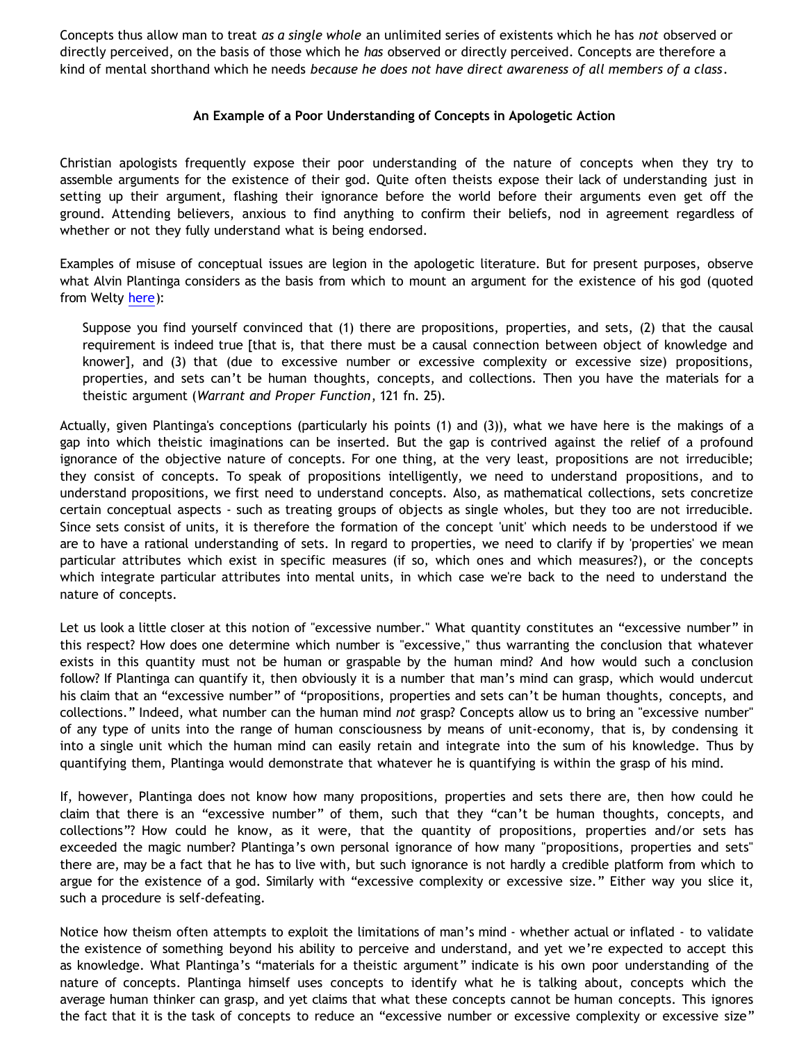Concepts thus allow man to treat *as a single whole* an unlimited series of existents which he has *not* observed or directly perceived, on the basis of those which he *has* observed or directly perceived. Concepts are therefore a kind of mental shorthand which he needs *because he does not have direct awareness of all members of a class*.

### **An Example of a Poor Understanding of Concepts in Apologetic Action**

Christian apologists frequently expose their poor understanding of the nature of concepts when they try to assemble arguments for the existence of their god. Quite often theists expose their lack of understanding just in setting up their argument, flashing their ignorance before the world before their arguments even get off the ground. Attending believers, anxious to find anything to confirm their beliefs, nod in agreement regardless of whether or not they fully understand what is being endorsed.

Examples of misuse of conceptual issues are legion in the apologetic literature. But for present purposes, observe what Alvin Plantinga considers as the basis from which to mount an argument for the existence of his god (quoted from Welty [here](http://www.ccir.ed.ac.uk/~jad/welty/mphil.pdf)):

Suppose you find yourself convinced that (1) there are propositions, properties, and sets, (2) that the causal requirement is indeed true [that is, that there must be a causal connection between object of knowledge and knower], and (3) that (due to excessive number or excessive complexity or excessive size) propositions, properties, and sets can't be human thoughts, concepts, and collections. Then you have the materials for a theistic argument (*Warrant and Proper Function*, 121 fn. 25).

Actually, given Plantinga's conceptions (particularly his points (1) and (3)), what we have here is the makings of a gap into which theistic imaginations can be inserted. But the gap is contrived against the relief of a profound ignorance of the objective nature of concepts. For one thing, at the very least, propositions are not irreducible; they consist of concepts. To speak of propositions intelligently, we need to understand propositions, and to understand propositions, we first need to understand concepts. Also, as mathematical collections, sets concretize certain conceptual aspects - such as treating groups of objects as single wholes, but they too are not irreducible. Since sets consist of units, it is therefore the formation of the concept 'unit' which needs to be understood if we are to have a rational understanding of sets. In regard to properties, we need to clarify if by 'properties' we mean particular attributes which exist in specific measures (if so, which ones and which measures?), or the concepts which integrate particular attributes into mental units, in which case we're back to the need to understand the nature of concepts.

Let us look a little closer at this notion of "excessive number." What quantity constitutes an "excessive number" in this respect? How does one determine which number is "excessive," thus warranting the conclusion that whatever exists in this quantity must not be human or graspable by the human mind? And how would such a conclusion follow? If Plantinga can quantify it, then obviously it is a number that man's mind can grasp, which would undercut his claim that an "excessive number" of "propositions, properties and sets can't be human thoughts, concepts, and collections." Indeed, what number can the human mind *not* grasp? Concepts allow us to bring an "excessive number" of any type of units into the range of human consciousness by means of unit-economy, that is, by condensing it into a single unit which the human mind can easily retain and integrate into the sum of his knowledge. Thus by quantifying them, Plantinga would demonstrate that whatever he is quantifying is within the grasp of his mind.

If, however, Plantinga does not know how many propositions, properties and sets there are, then how could he claim that there is an "excessive number" of them, such that they "can't be human thoughts, concepts, and collections"? How could he know, as it were, that the quantity of propositions, properties and/or sets has exceeded the magic number? Plantinga's own personal ignorance of how many "propositions, properties and sets" there are, may be a fact that he has to live with, but such ignorance is not hardly a credible platform from which to argue for the existence of a god. Similarly with "excessive complexity or excessive size." Either way you slice it, such a procedure is self-defeating.

Notice how theism often attempts to exploit the limitations of man's mind - whether actual or inflated - to validate the existence of something beyond his ability to perceive and understand, and yet we're expected to accept this as knowledge. What Plantinga's "materials for a theistic argument" indicate is his own poor understanding of the nature of concepts. Plantinga himself uses concepts to identify what he is talking about, concepts which the average human thinker can grasp, and yet claims that what these concepts cannot be human concepts. This ignores the fact that it is the task of concepts to reduce an "excessive number or excessive complexity or excessive size"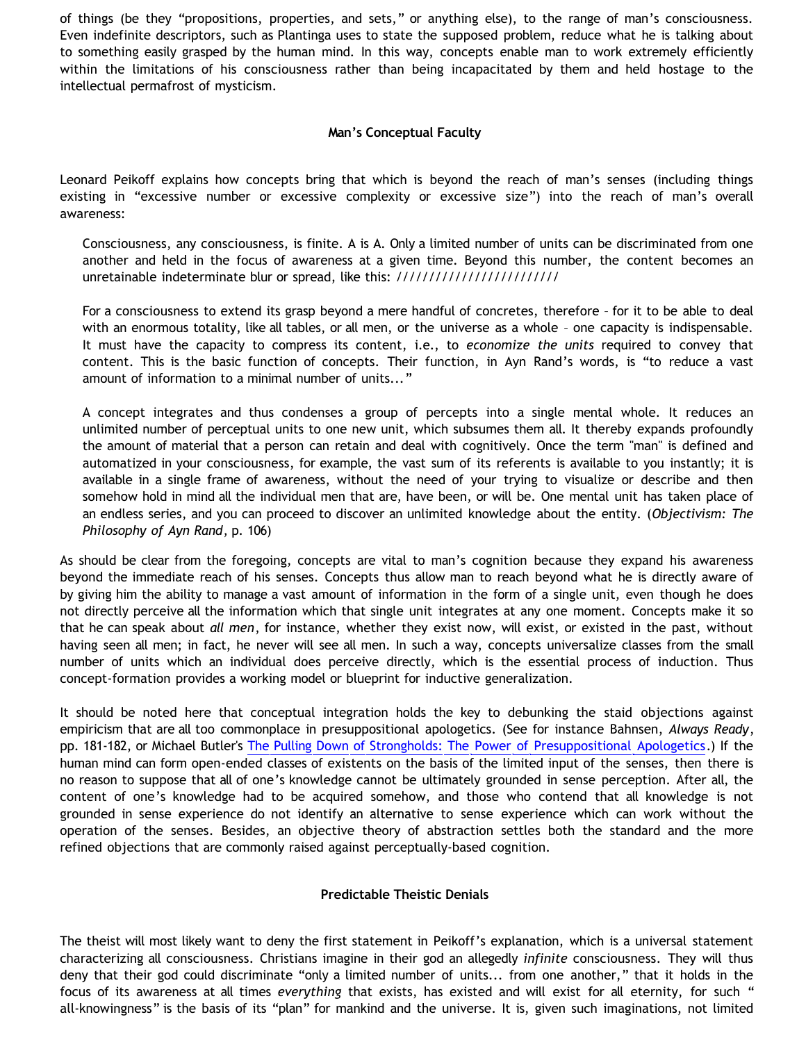of things (be they "propositions, properties, and sets," or anything else), to the range of man's consciousness. Even indefinite descriptors, such as Plantinga uses to state the supposed problem, reduce what he is talking about to something easily grasped by the human mind. In this way, concepts enable man to work extremely efficiently within the limitations of his consciousness rather than being incapacitated by them and held hostage to the intellectual permafrost of mysticism.

### **Man's Conceptual Faculty**

Leonard Peikoff explains how concepts bring that which is beyond the reach of man's senses (including things existing in "excessive number or excessive complexity or excessive size") into the reach of man's overall awareness:

Consciousness, any consciousness, is finite. A is A. Only a limited number of units can be discriminated from one another and held in the focus of awareness at a given time. Beyond this number, the content becomes an unretainable indeterminate blur or spread, like this: ///////////////////////////

For a consciousness to extend its grasp beyond a mere handful of concretes, therefore – for it to be able to deal with an enormous totality, like all tables, or all men, or the universe as a whole – one capacity is indispensable. It must have the capacity to compress its content, i.e., to *economize the units* required to convey that content. This is the basic function of concepts. Their function, in Ayn Rand's words, is "to reduce a vast amount of information to a minimal number of units..."

A concept integrates and thus condenses a group of percepts into a single mental whole. It reduces an unlimited number of perceptual units to one new unit, which subsumes them all. It thereby expands profoundly the amount of material that a person can retain and deal with cognitively. Once the term "man" is defined and automatized in your consciousness, for example, the vast sum of its referents is available to you instantly; it is available in a single frame of awareness, without the need of your trying to visualize or describe and then somehow hold in mind all the individual men that are, have been, or will be. One mental unit has taken place of an endless series, and you can proceed to discover an unlimited knowledge about the entity. (*Objectivism: The Philosophy of Ayn Rand*, p. 106)

As should be clear from the foregoing, concepts are vital to man's cognition because they expand his awareness beyond the immediate reach of his senses. Concepts thus allow man to reach beyond what he is directly aware of by giving him the ability to manage a vast amount of information in the form of a single unit, even though he does not directly perceive all the information which that single unit integrates at any one moment. Concepts make it so that he can speak about *all men*, for instance, whether they exist now, will exist, or existed in the past, without having seen all men; in fact, he never will see all men. In such a way, concepts universalize classes from the small number of units which an individual does perceive directly, which is the essential process of induction. Thus concept-formation provides a working model or blueprint for inductive generalization.

It should be noted here that conceptual integration holds the key to debunking the staid objections against empiricism that are all too commonplace in presuppositional apologetics. (See for instance Bahnsen, *Always Ready*, pp. 181-182, or Michael Butler's [The Pulling Down of Strongholds: The Power of Presuppositional Apologetics.](http://butler-harris.org/archives/158)) If the human mind can form open-ended classes of existents on the basis of the limited input of the senses, then there is no reason to suppose that all of one's knowledge cannot be ultimately grounded in sense perception. After all, the content of one's knowledge had to be acquired somehow, and those who contend that all knowledge is not grounded in sense experience do not identify an alternative to sense experience which can work without the operation of the senses. Besides, an objective theory of abstraction settles both the standard and the more refined objections that are commonly raised against perceptually-based cognition.

# **Predictable Theistic Denials**

The theist will most likely want to deny the first statement in Peikoff's explanation, which is a universal statement characterizing all consciousness. Christians imagine in their god an allegedly *infinite* consciousness. They will thus deny that their god could discriminate "only a limited number of units... from one another," that it holds in the focus of its awareness at all times *everything* that exists, has existed and will exist for all eternity, for such " all-knowingness" is the basis of its "plan" for mankind and the universe. It is, given such imaginations, not limited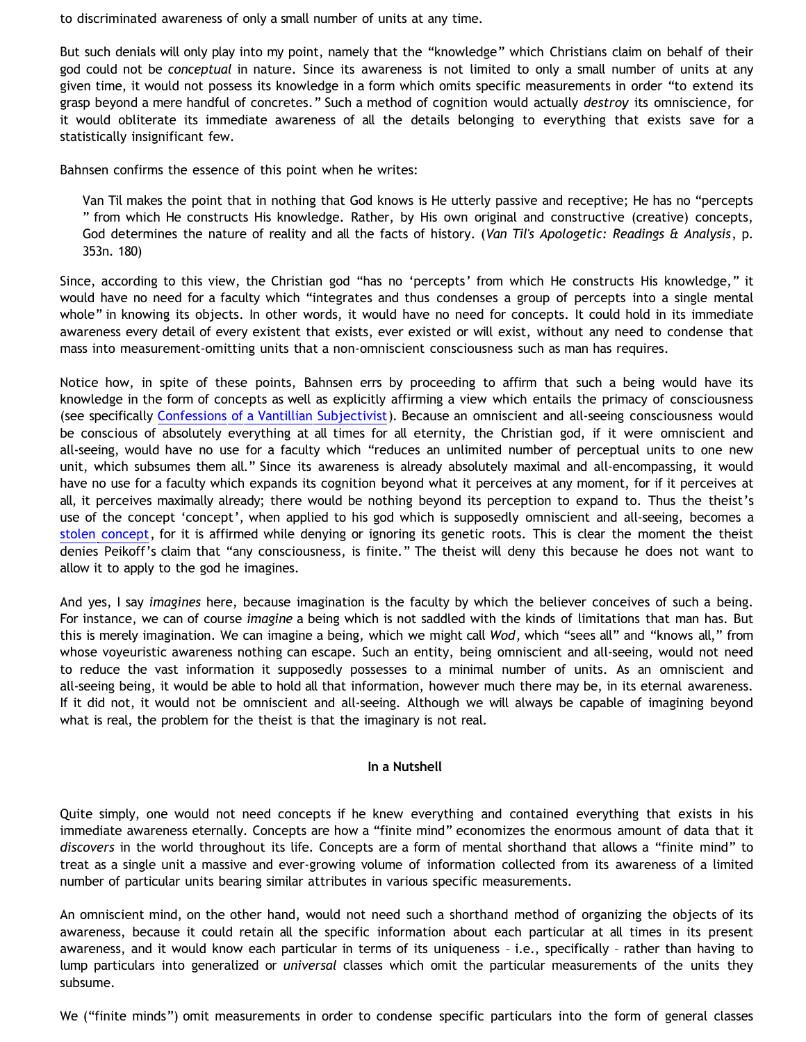to discriminated awareness of only a small number of units at any time.

But such denials will only play into my point, namely that the "knowledge" which Christians claim on behalf of their god could not be *conceptual* in nature. Since its awareness is not limited to only a small number of units at any given time, it would not possess its knowledge in a form which omits specific measurements in order "to extend its grasp beyond a mere handful of concretes." Such a method of cognition would actually *destroy* its omniscience, for it would obliterate its immediate awareness of all the details belonging to everything that exists save for a statistically insignificant few.

Bahnsen confirms the essence of this point when he writes:

Van Til makes the point that in nothing that God knows is He utterly passive and receptive; He has no "percepts " from which He constructs His knowledge. Rather, by His own original and constructive (creative) concepts, God determines the nature of reality and all the facts of history. (*Van Til's Apologetic: Readings & Analysis*, p. 353n. 180)

Since, according to this view, the Christian god "has no 'percepts' from which He constructs His knowledge," it would have no need for a faculty which "integrates and thus condenses a group of percepts into a single mental whole" in knowing its objects. In other words, it would have no need for concepts. It could hold in its immediate awareness every detail of every existent that exists, ever existed or will exist, without any need to condense that mass into measurement-omitting units that a non-omniscient consciousness such as man has requires.

Notice how, in spite of these points, Bahnsen errs by proceeding to affirm that such a being would have its knowledge in the form of concepts as well as explicitly affirming a view which entails the primacy of consciousness (see specifically [Confessions of a Vantillian Subjectivist](http://bahnsenburner.blogspot.com/2006/03/confessions-of-vantillian-subjectivist.html)). Because an omniscient and all-seeing consciousness would be conscious of absolutely everything at all times for all eternity, the Christian god, if it were omniscient and all-seeing, would have no use for a faculty which "reduces an unlimited number of perceptual units to one new unit, which subsumes them all." Since its awareness is already absolutely maximal and all-encompassing, it would have no use for a faculty which expands its cognition beyond what it perceives at any moment, for if it perceives at all, it perceives maximally already; there would be nothing beyond its perception to expand to. Thus the theist's use of the concept 'concept', when applied to his god which is supposedly omniscient and all-seeing, becomes a [stolen concept](http://www.nathanielbranden.com/catalog/articles_essays/the_stolen_concept.html), for it is affirmed while denying or ignoring its genetic roots. This is clear the moment the theist denies Peikoff's claim that "any consciousness, is finite." The theist will deny this because he does not want to allow it to apply to the god he imagines.

And yes, I say *imagines* here, because imagination is the faculty by which the believer conceives of such a being. For instance, we can of course *imagine* a being which is not saddled with the kinds of limitations that man has. But this is merely imagination. We can imagine a being, which we might call *Wod*, which "sees all" and "knows all," from whose voyeuristic awareness nothing can escape. Such an entity, being omniscient and all-seeing, would not need to reduce the vast information it supposedly possesses to a minimal number of units. As an omniscient and all-seeing being, it would be able to hold all that information, however much there may be, in its eternal awareness. If it did not, it would not be omniscient and all-seeing. Although we will always be capable of imagining beyond what is real, the problem for the theist is that the imaginary is not real.

#### **In a Nutshell**

Quite simply, one would not need concepts if he knew everything and contained everything that exists in his immediate awareness eternally. Concepts are how a "finite mind" economizes the enormous amount of data that it *discovers* in the world throughout its life. Concepts are a form of mental shorthand that allows a "finite mind" to treat as a single unit a massive and ever-growing volume of information collected from its awareness of a limited number of particular units bearing similar attributes in various specific measurements.

An omniscient mind, on the other hand, would not need such a shorthand method of organizing the objects of its awareness, because it could retain all the specific information about each particular at all times in its present awareness, and it would know each particular in terms of its uniqueness – i.e., specifically – rather than having to lump particulars into generalized or *universal* classes which omit the particular measurements of the units they subsume.

We ("finite minds") omit measurements in order to condense specific particulars into the form of general classes